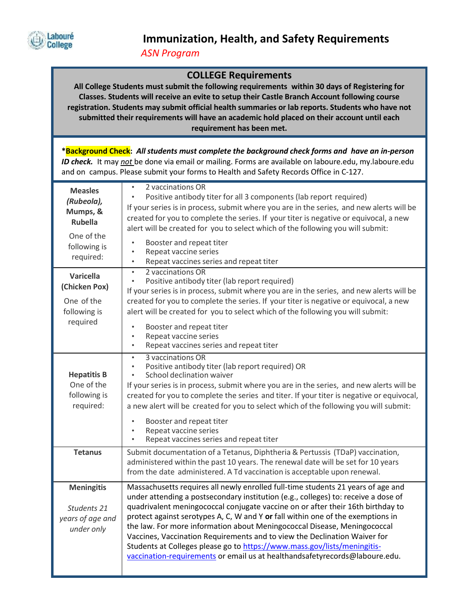

*ASN Program*

## **COLLEGE Requirements**

**All College Students must submit the following requirements within 30 days of Registering for Classes. Students will receive an evite to setup their Castle Branch Account following course registration. Students may submit official health summaries or lab reports. Students who have not submitted their requirements will have an academic hold placed on their account until each requirement has been met.** 

**\*Background Check:** *All students must complete the background check forms and have an in-person ID check.* It may *not* be done via email or mailing. Forms are available on laboure.edu, my.laboure.edu and on campus. Please submit your forms to Health and Safety Records Office in C-127.

| <b>Measles</b><br>(Rubeola),<br>Mumps, &<br><b>Rubella</b><br>One of the<br>following is<br>required: | 2 vaccinations OR<br>$\bullet$<br>Positive antibody titer for all 3 components (lab report required)<br>$\bullet$<br>If your series is in process, submit where you are in the series, and new alerts will be<br>created for you to complete the series. If your titer is negative or equivocal, a new<br>alert will be created for you to select which of the following you will submit:<br>Booster and repeat titer<br>$\bullet$<br>Repeat vaccine series<br>$\bullet$<br>Repeat vaccines series and repeat titer                                                                                                                                              |
|-------------------------------------------------------------------------------------------------------|------------------------------------------------------------------------------------------------------------------------------------------------------------------------------------------------------------------------------------------------------------------------------------------------------------------------------------------------------------------------------------------------------------------------------------------------------------------------------------------------------------------------------------------------------------------------------------------------------------------------------------------------------------------|
| Varicella<br>(Chicken Pox)<br>One of the<br>following is<br>required                                  | 2 vaccinations OR<br>$\bullet$<br>Positive antibody titer (lab report required)<br>$\bullet$<br>If your series is in process, submit where you are in the series, and new alerts will be<br>created for you to complete the series. If your titer is negative or equivocal, a new<br>alert will be created for you to select which of the following you will submit:<br>Booster and repeat titer<br>$\bullet$<br>Repeat vaccine series<br>$\bullet$<br>Repeat vaccines series and repeat titer<br>$\bullet$                                                                                                                                                      |
| <b>Hepatitis B</b><br>One of the<br>following is<br>required:                                         | 3 vaccinations OR<br>$\bullet$<br>Positive antibody titer (lab report required) OR<br>$\bullet$<br>School declination waiver<br>$\bullet$<br>If your series is in process, submit where you are in the series, and new alerts will be<br>created for you to complete the series and titer. If your titer is negative or equivocal,<br>a new alert will be created for you to select which of the following you will submit:<br>Booster and repeat titer<br>$\bullet$<br>Repeat vaccine series<br>$\bullet$<br>Repeat vaccines series and repeat titer                                                                                                            |
| <b>Tetanus</b>                                                                                        | Submit documentation of a Tetanus, Diphtheria & Pertussis (TDaP) vaccination,<br>administered within the past 10 years. The renewal date will be set for 10 years<br>from the date administered. A Td vaccination is acceptable upon renewal.                                                                                                                                                                                                                                                                                                                                                                                                                    |
| <b>Meningitis</b><br>Students 21<br>years of age and<br>under only                                    | Massachusetts requires all newly enrolled full-time students 21 years of age and<br>under attending a postsecondary institution (e.g., colleges) to: receive a dose of<br>quadrivalent meningococcal conjugate vaccine on or after their 16th birthday to<br>protect against serotypes A, C, W and Y or fall within one of the exemptions in<br>the law. For more information about Meningococcal Disease, Meningococcal<br>Vaccines, Vaccination Requirements and to view the Declination Waiver for<br>Students at Colleges please go to https://www.mass.gov/lists/meningitis-<br>vaccination-requirements or email us at healthandsafetyrecords@laboure.edu. |